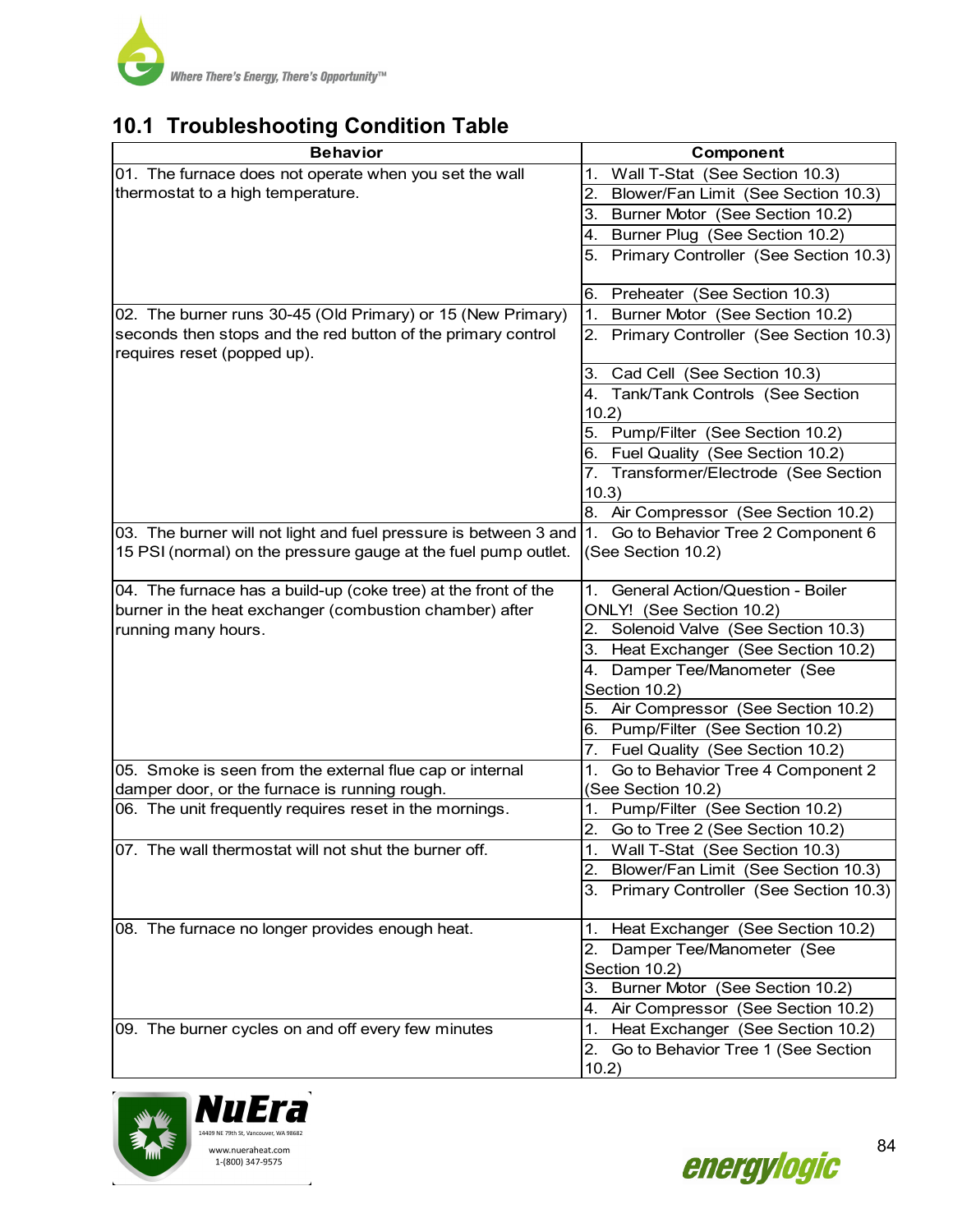

# **10.1 Troubleshooting Condition Table**

| <b>Behavior</b>                                                  | Component                                                                  |
|------------------------------------------------------------------|----------------------------------------------------------------------------|
| 01. The furnace does not operate when you set the wall           | 1. Wall T-Stat (See Section 10.3)                                          |
| thermostat to a high temperature.                                | Blower/Fan Limit (See Section 10.3)<br>2.                                  |
|                                                                  | 3. Burner Motor (See Section 10.2)                                         |
|                                                                  | Burner Plug (See Section 10.2)<br>4.                                       |
|                                                                  | Primary Controller (See Section 10.3)                                      |
|                                                                  |                                                                            |
|                                                                  | 6. Preheater (See Section 10.3)                                            |
| 02. The burner runs 30-45 (Old Primary) or 15 (New Primary)      | Burner Motor (See Section 10.2)<br>1 <sub>1</sub>                          |
| seconds then stops and the red button of the primary control     | 2. Primary Controller (See Section 10.3)                                   |
| requires reset (popped up).                                      |                                                                            |
|                                                                  | 3. Cad Cell (See Section 10.3)                                             |
|                                                                  | 4. Tank/Tank Controls (See Section                                         |
|                                                                  | 10.2)<br>5. Pump/Filter (See Section 10.2)                                 |
|                                                                  | 6. Fuel Quality (See Section 10.2)                                         |
|                                                                  | 7. Transformer/Electrode (See Section                                      |
|                                                                  | 10.3)                                                                      |
|                                                                  | 8. Air Compressor (See Section 10.2)                                       |
| 03. The burner will not light and fuel pressure is between 3 and | Go to Behavior Tree 2 Component 6<br>I1.                                   |
| 15 PSI (normal) on the pressure gauge at the fuel pump outlet.   | (See Section 10.2)                                                         |
|                                                                  |                                                                            |
| 04. The furnace has a build-up (coke tree) at the front of the   | General Action/Question - Boiler                                           |
| burner in the heat exchanger (combustion chamber) after          | ONLY! (See Section 10.2)                                                   |
| running many hours.                                              | Solenoid Valve (See Section 10.3)<br>2.                                    |
|                                                                  | 3. Heat Exchanger (See Section 10.2)                                       |
|                                                                  | 4. Damper Tee/Manometer (See                                               |
|                                                                  | Section 10.2)                                                              |
|                                                                  | 5. Air Compressor (See Section 10.2)                                       |
|                                                                  | 6. Pump/Filter (See Section 10.2)                                          |
| 05. Smoke is seen from the external flue cap or internal         | Fuel Quality (See Section 10.2)<br>7.<br>Go to Behavior Tree 4 Component 2 |
| damper door, or the furnace is running rough.                    | 1.<br>(See Section 10.2)                                                   |
| 06. The unit frequently requires reset in the mornings.          | 1. Pump/Filter (See Section 10.2)                                          |
|                                                                  | 2. Go to Tree 2 (See Section 10.2)                                         |
| 07. The wall thermostat will not shut the burner off.            | Wall T-Stat (See Section 10.3)<br>1.                                       |
|                                                                  | Blower/Fan Limit (See Section 10.3)<br>2.                                  |
|                                                                  | 3. Primary Controller (See Section 10.3)                                   |
|                                                                  |                                                                            |
| 08. The furnace no longer provides enough heat.                  | Heat Exchanger (See Section 10.2)<br>1.                                    |
|                                                                  | 2. Damper Tee/Manometer (See                                               |
|                                                                  | Section 10.2)                                                              |
|                                                                  | 3. Burner Motor (See Section 10.2)                                         |
|                                                                  | Air Compressor (See Section 10.2)<br>4.                                    |
| 09. The burner cycles on and off every few minutes               | Heat Exchanger (See Section 10.2)<br>1.                                    |
|                                                                  | 2. Go to Behavior Tree 1 (See Section                                      |
|                                                                  | 10.2)                                                                      |



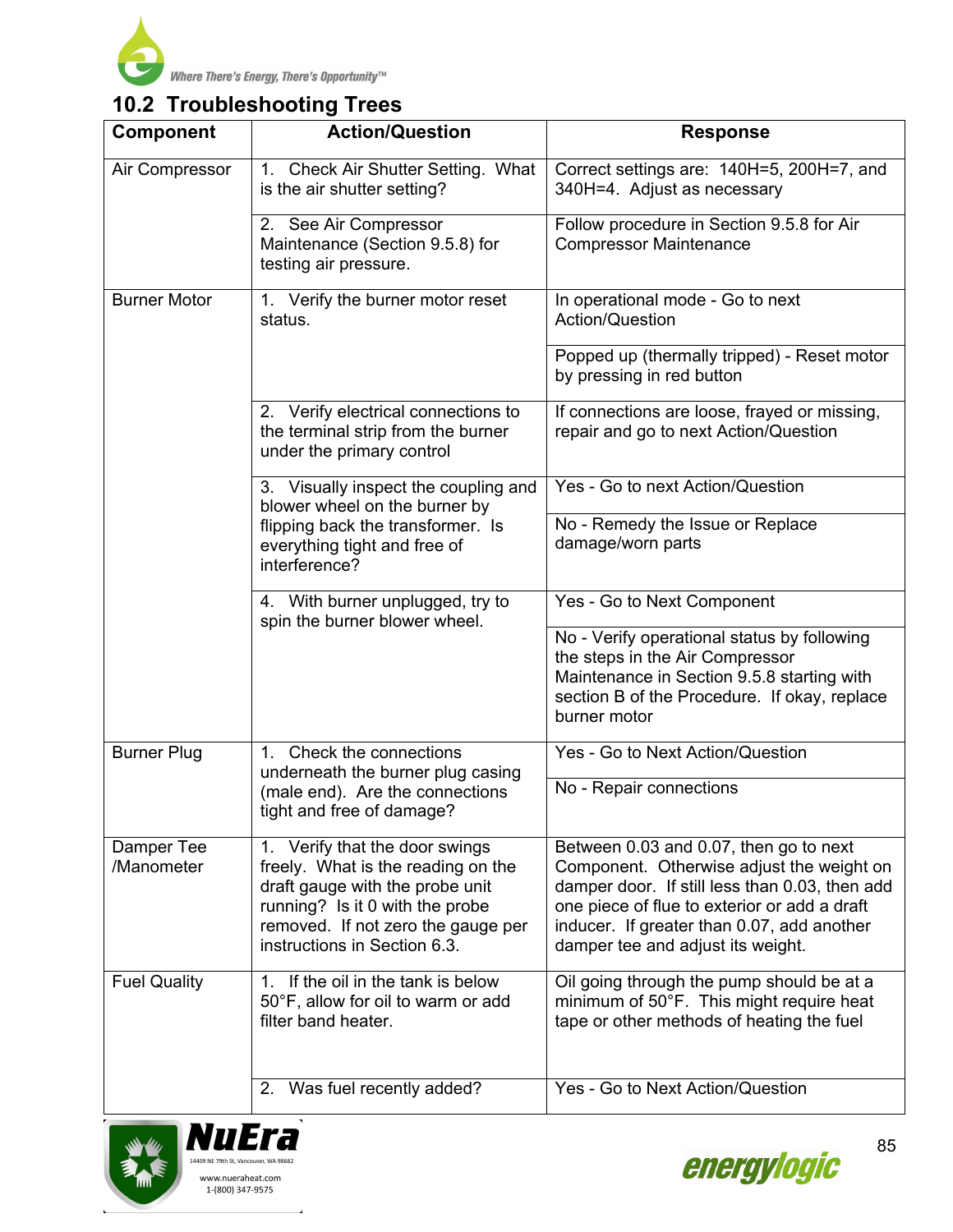

# **10.2 Troubleshooting Trees**

| <b>Component</b>         | <b>Action/Question</b>                                                                                                                                                                                           | <b>Response</b>                                                                                                                                                                                                                                                          |  |
|--------------------------|------------------------------------------------------------------------------------------------------------------------------------------------------------------------------------------------------------------|--------------------------------------------------------------------------------------------------------------------------------------------------------------------------------------------------------------------------------------------------------------------------|--|
| Air Compressor           | 1. Check Air Shutter Setting. What<br>is the air shutter setting?                                                                                                                                                | Correct settings are: 140H=5, 200H=7, and<br>340H=4. Adjust as necessary                                                                                                                                                                                                 |  |
|                          | 2. See Air Compressor<br>Maintenance (Section 9.5.8) for<br>testing air pressure.                                                                                                                                | Follow procedure in Section 9.5.8 for Air<br><b>Compressor Maintenance</b>                                                                                                                                                                                               |  |
| <b>Burner Motor</b>      | 1. Verify the burner motor reset<br>status.                                                                                                                                                                      | In operational mode - Go to next<br>Action/Question                                                                                                                                                                                                                      |  |
|                          |                                                                                                                                                                                                                  | Popped up (thermally tripped) - Reset motor<br>by pressing in red button                                                                                                                                                                                                 |  |
|                          | 2. Verify electrical connections to<br>the terminal strip from the burner<br>under the primary control                                                                                                           | If connections are loose, frayed or missing,<br>repair and go to next Action/Question                                                                                                                                                                                    |  |
|                          | 3. Visually inspect the coupling and<br>blower wheel on the burner by                                                                                                                                            | Yes - Go to next Action/Question                                                                                                                                                                                                                                         |  |
|                          | flipping back the transformer. Is<br>everything tight and free of<br>interference?                                                                                                                               | No - Remedy the Issue or Replace<br>damage/worn parts                                                                                                                                                                                                                    |  |
|                          | 4. With burner unplugged, try to<br>spin the burner blower wheel.                                                                                                                                                | Yes - Go to Next Component                                                                                                                                                                                                                                               |  |
|                          |                                                                                                                                                                                                                  | No - Verify operational status by following<br>the steps in the Air Compressor<br>Maintenance in Section 9.5.8 starting with<br>section B of the Procedure. If okay, replace<br>burner motor                                                                             |  |
| <b>Burner Plug</b>       | Check the connections<br>$1_{-}$<br>underneath the burner plug casing                                                                                                                                            | Yes - Go to Next Action/Question                                                                                                                                                                                                                                         |  |
|                          | (male end). Are the connections<br>tight and free of damage?                                                                                                                                                     | No - Repair connections                                                                                                                                                                                                                                                  |  |
| Damper Tee<br>/Manometer | 1. Verify that the door swings<br>freely. What is the reading on the<br>draft gauge with the probe unit<br>running? Is it 0 with the probe<br>removed. If not zero the gauge per<br>instructions in Section 6.3. | Between 0.03 and 0.07, then go to next<br>Component. Otherwise adjust the weight on<br>damper door. If still less than 0.03, then add<br>one piece of flue to exterior or add a draft<br>inducer. If greater than 0.07, add another<br>damper tee and adjust its weight. |  |
| <b>Fuel Quality</b>      | 1. If the oil in the tank is below<br>50°F, allow for oil to warm or add<br>filter band heater.                                                                                                                  | Oil going through the pump should be at a<br>minimum of 50°F. This might require heat<br>tape or other methods of heating the fuel                                                                                                                                       |  |
|                          | Was fuel recently added?<br>2.                                                                                                                                                                                   | Yes - Go to Next Action/Question                                                                                                                                                                                                                                         |  |





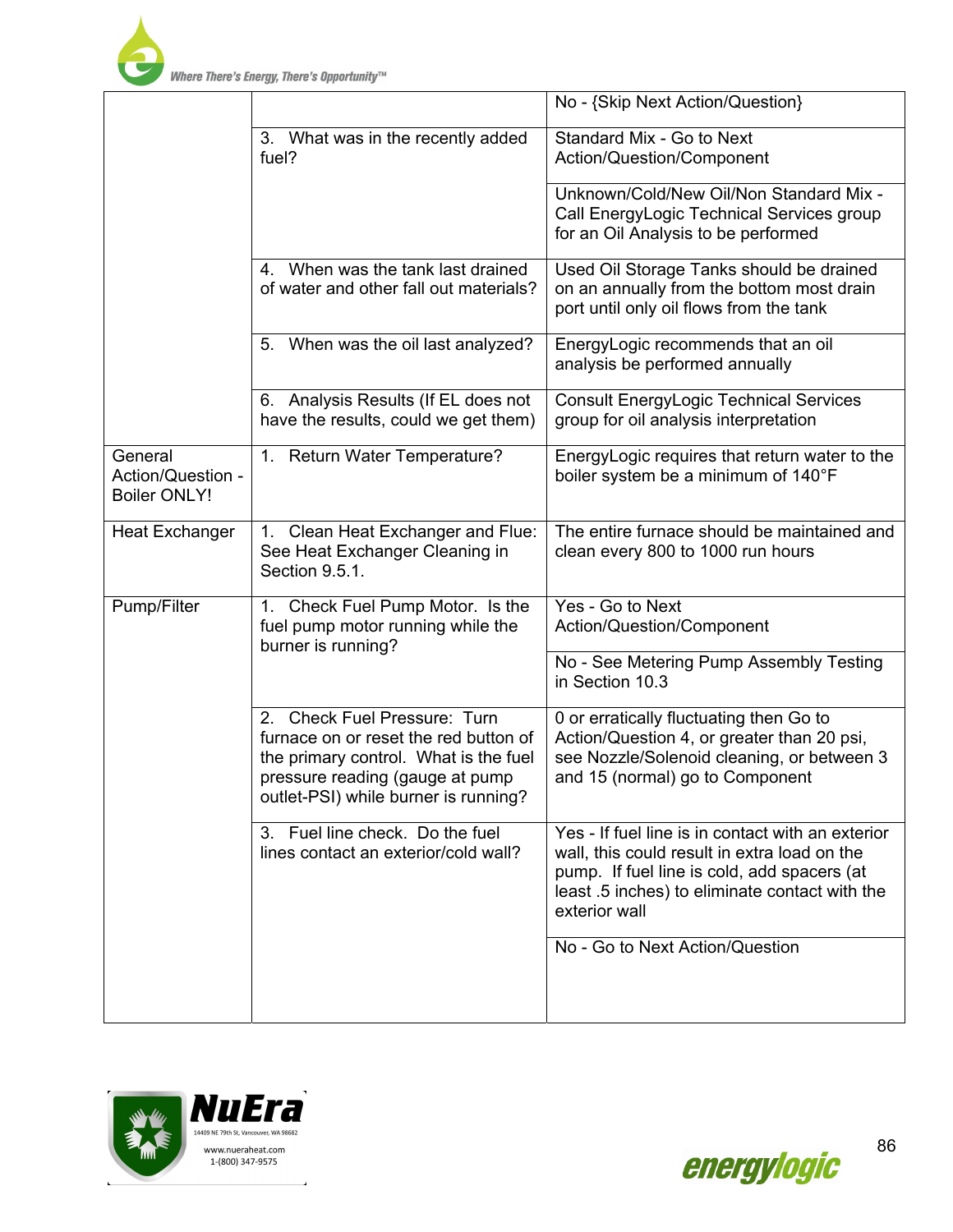

Where There's Energy, There's Opportunity™

|                                                     |                                                                                                                                                                                                     | No - {Skip Next Action/Question}                                                                                                                                                                                    |
|-----------------------------------------------------|-----------------------------------------------------------------------------------------------------------------------------------------------------------------------------------------------------|---------------------------------------------------------------------------------------------------------------------------------------------------------------------------------------------------------------------|
|                                                     | 3. What was in the recently added<br>fuel?                                                                                                                                                          | Standard Mix - Go to Next<br>Action/Question/Component                                                                                                                                                              |
|                                                     |                                                                                                                                                                                                     | Unknown/Cold/New Oil/Non Standard Mix -<br>Call EnergyLogic Technical Services group<br>for an Oil Analysis to be performed                                                                                         |
|                                                     | 4. When was the tank last drained<br>of water and other fall out materials?                                                                                                                         | Used Oil Storage Tanks should be drained<br>on an annually from the bottom most drain<br>port until only oil flows from the tank                                                                                    |
|                                                     | 5. When was the oil last analyzed?                                                                                                                                                                  | EnergyLogic recommends that an oil<br>analysis be performed annually                                                                                                                                                |
|                                                     | 6. Analysis Results (If EL does not<br>have the results, could we get them)                                                                                                                         | <b>Consult EnergyLogic Technical Services</b><br>group for oil analysis interpretation                                                                                                                              |
| General<br>Action/Question -<br><b>Boiler ONLY!</b> | 1. Return Water Temperature?                                                                                                                                                                        | EnergyLogic requires that return water to the<br>boiler system be a minimum of 140°F                                                                                                                                |
| <b>Heat Exchanger</b>                               | Clean Heat Exchanger and Flue:<br>1.<br>See Heat Exchanger Cleaning in<br>Section 9.5.1.                                                                                                            | The entire furnace should be maintained and<br>clean every 800 to 1000 run hours                                                                                                                                    |
| Pump/Filter                                         | Check Fuel Pump Motor. Is the<br>1.<br>fuel pump motor running while the<br>burner is running?                                                                                                      | Yes - Go to Next<br>Action/Question/Component                                                                                                                                                                       |
|                                                     |                                                                                                                                                                                                     | No - See Metering Pump Assembly Testing<br>in Section 10.3                                                                                                                                                          |
|                                                     | <b>Check Fuel Pressure: Turn</b><br>2.<br>furnace on or reset the red button of<br>the primary control. What is the fuel<br>pressure reading (gauge at pump<br>outlet-PSI) while burner is running? | 0 or erratically fluctuating then Go to<br>Action/Question 4, or greater than 20 psi,<br>see Nozzle/Solenoid cleaning, or between 3<br>and 15 (normal) go to Component                                              |
|                                                     | 3. Fuel line check. Do the fuel<br>lines contact an exterior/cold wall?                                                                                                                             | Yes - If fuel line is in contact with an exterior<br>wall, this could result in extra load on the<br>pump. If fuel line is cold, add spacers (at<br>least .5 inches) to eliminate contact with the<br>exterior wall |
|                                                     |                                                                                                                                                                                                     | No - Go to Next Action/Question                                                                                                                                                                                     |



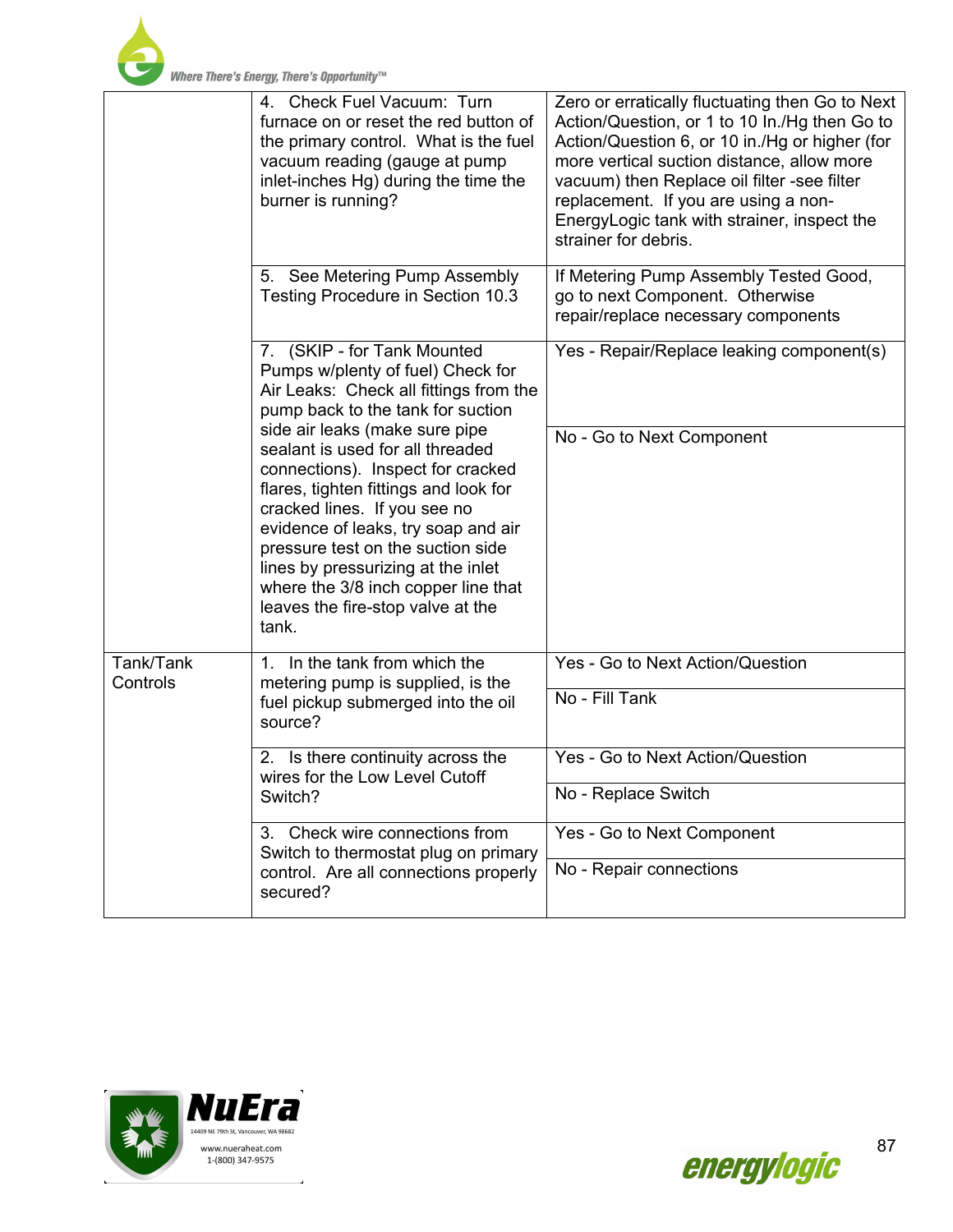

|                       | 4. Check Fuel Vacuum: Turn<br>furnace on or reset the red button of<br>the primary control. What is the fuel<br>vacuum reading (gauge at pump<br>inlet-inches Hg) during the time the<br>burner is running?                                                                                                                                                                             | Zero or erratically fluctuating then Go to Next<br>Action/Question, or 1 to 10 In./Hg then Go to<br>Action/Question 6, or 10 in./Hg or higher (for<br>more vertical suction distance, allow more<br>vacuum) then Replace oil filter -see filter<br>replacement. If you are using a non-<br>EnergyLogic tank with strainer, inspect the<br>strainer for debris. |
|-----------------------|-----------------------------------------------------------------------------------------------------------------------------------------------------------------------------------------------------------------------------------------------------------------------------------------------------------------------------------------------------------------------------------------|----------------------------------------------------------------------------------------------------------------------------------------------------------------------------------------------------------------------------------------------------------------------------------------------------------------------------------------------------------------|
|                       | See Metering Pump Assembly<br>5.<br>Testing Procedure in Section 10.3                                                                                                                                                                                                                                                                                                                   | If Metering Pump Assembly Tested Good,<br>go to next Component. Otherwise<br>repair/replace necessary components                                                                                                                                                                                                                                               |
|                       | 7. (SKIP - for Tank Mounted<br>Pumps w/plenty of fuel) Check for<br>Air Leaks: Check all fittings from the<br>pump back to the tank for suction                                                                                                                                                                                                                                         | Yes - Repair/Replace leaking component(s)                                                                                                                                                                                                                                                                                                                      |
|                       | side air leaks (make sure pipe<br>sealant is used for all threaded<br>connections). Inspect for cracked<br>flares, tighten fittings and look for<br>cracked lines. If you see no<br>evidence of leaks, try soap and air<br>pressure test on the suction side<br>lines by pressurizing at the inlet<br>where the 3/8 inch copper line that<br>leaves the fire-stop valve at the<br>tank. | No - Go to Next Component                                                                                                                                                                                                                                                                                                                                      |
| Tank/Tank<br>Controls | 1. In the tank from which the<br>metering pump is supplied, is the<br>fuel pickup submerged into the oil<br>source?                                                                                                                                                                                                                                                                     | Yes - Go to Next Action/Question                                                                                                                                                                                                                                                                                                                               |
|                       |                                                                                                                                                                                                                                                                                                                                                                                         | No - Fill Tank                                                                                                                                                                                                                                                                                                                                                 |
|                       | 2. Is there continuity across the<br>wires for the Low Level Cutoff<br>Switch?                                                                                                                                                                                                                                                                                                          | Yes - Go to Next Action/Question                                                                                                                                                                                                                                                                                                                               |
|                       |                                                                                                                                                                                                                                                                                                                                                                                         | No - Replace Switch                                                                                                                                                                                                                                                                                                                                            |
|                       | Check wire connections from<br>3.<br>Switch to thermostat plug on primary<br>control. Are all connections properly<br>secured?                                                                                                                                                                                                                                                          | Yes - Go to Next Component                                                                                                                                                                                                                                                                                                                                     |
|                       |                                                                                                                                                                                                                                                                                                                                                                                         | No - Repair connections                                                                                                                                                                                                                                                                                                                                        |



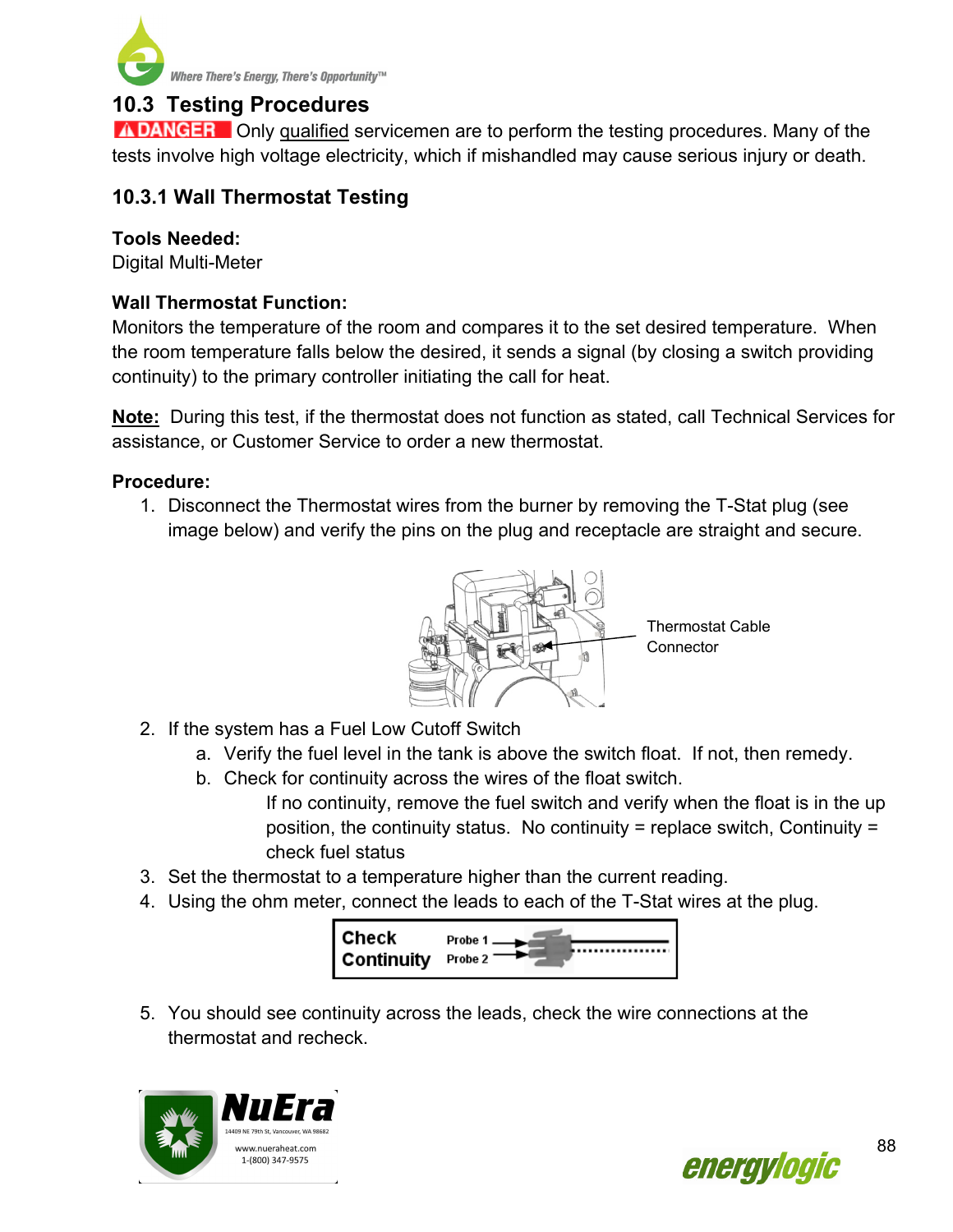

# **10.3 Testing Procedures**

**A DANGER** Only qualified servicemen are to perform the testing procedures. Many of the tests involve high voltage electricity, which if mishandled may cause serious injury or death.

## **10.3.1 Wall Thermostat Testing**

### **Tools Needed:**

Digital Multi-Meter

## **Wall Thermostat Function:**

Monitors the temperature of the room and compares it to the set desired temperature. When the room temperature falls below the desired, it sends a signal (by closing a switch providing continuity) to the primary controller initiating the call for heat.

**Note:** During this test, if the thermostat does not function as stated, call Technical Services for assistance, or Customer Service to order a new thermostat.

#### **Procedure:**

1. Disconnect the Thermostat wires from the burner by removing the T-Stat plug (see image below) and verify the pins on the plug and receptacle are straight and secure.



- 2. If the system has a Fuel Low Cutoff Switch
	- a. Verify the fuel level in the tank is above the switch float. If not, then remedy.
	- b. Check for continuity across the wires of the float switch.

If no continuity, remove the fuel switch and verify when the float is in the up position, the continuity status. No continuity = replace switch, Continuity = check fuel status

- 3. Set the thermostat to a temperature higher than the current reading.
- 4. Using the ohm meter, connect the leads to each of the T-Stat wires at the plug.



5. You should see continuity across the leads, check the wire connections at the thermostat and recheck.



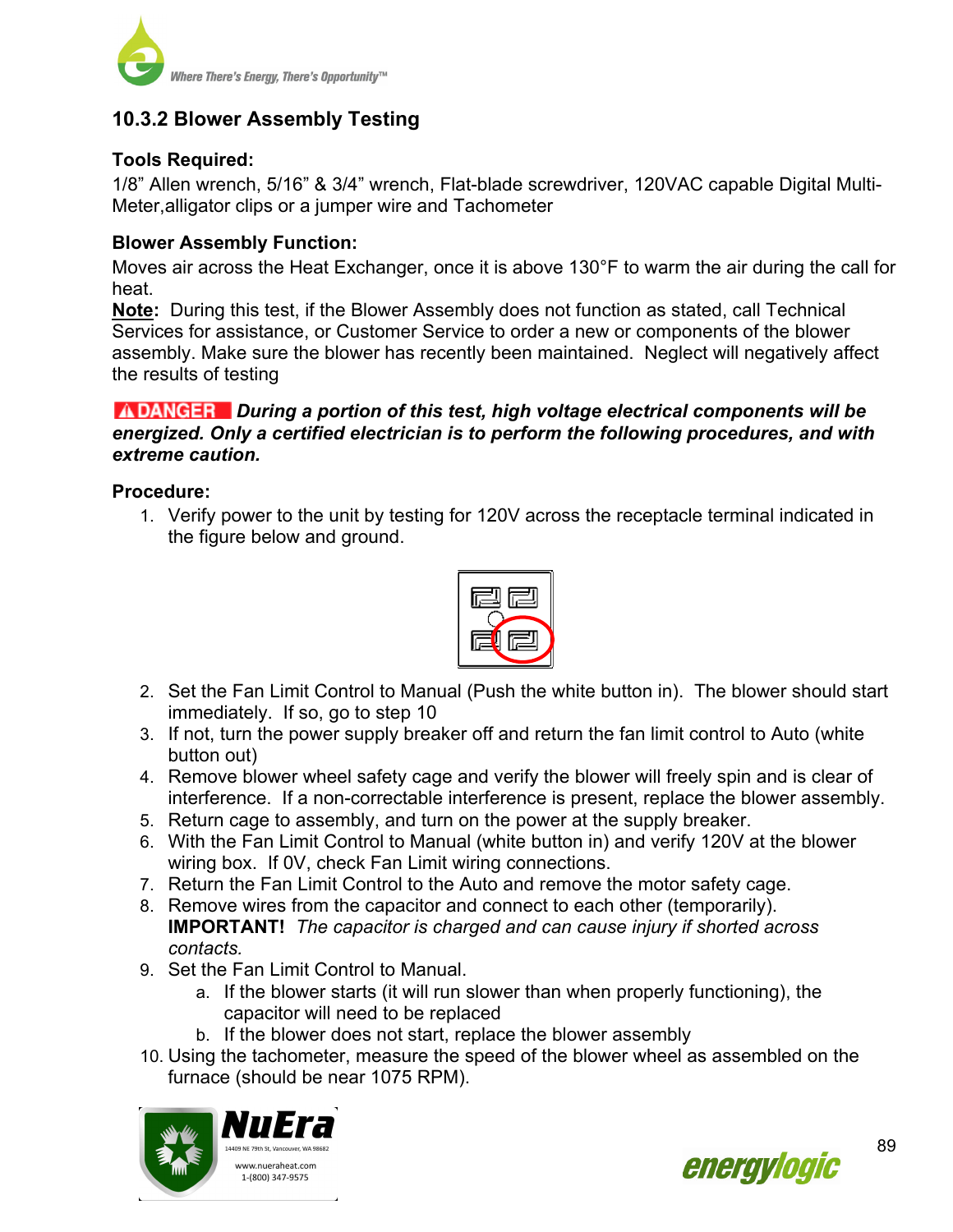

## **10.3.2 Blower Assembly Testing**

### **Tools Required:**

1/8" Allen wrench, 5/16" & 3/4" wrench, Flat-blade screwdriver, 120VAC capable Digital Multi-Meter,alligator clips or a jumper wire and Tachometer

#### **Blower Assembly Function:**

Moves air across the Heat Exchanger, once it is above 130°F to warm the air during the call for heat.

**Note:** During this test, if the Blower Assembly does not function as stated, call Technical Services for assistance, or Customer Service to order a new or components of the blower assembly. Make sure the blower has recently been maintained. Neglect will negatively affect the results of testing

#### *During a portion of this test, high voltage electrical components will be energized. Only a certified electrician is to perform the following procedures, and with extreme caution.*

#### **Procedure:**

1. Verify power to the unit by testing for 120V across the receptacle terminal indicated in the figure below and ground.



- 2. Set the Fan Limit Control to Manual (Push the white button in). The blower should start immediately. If so, go to step 10
- 3. If not, turn the power supply breaker off and return the fan limit control to Auto (white button out)
- 4. Remove blower wheel safety cage and verify the blower will freely spin and is clear of interference. If a non-correctable interference is present, replace the blower assembly.
- 5. Return cage to assembly, and turn on the power at the supply breaker.
- 6. With the Fan Limit Control to Manual (white button in) and verify 120V at the blower wiring box. If 0V, check Fan Limit wiring connections.
- 7. Return the Fan Limit Control to the Auto and remove the motor safety cage.
- 8. Remove wires from the capacitor and connect to each other (temporarily). **IMPORTANT!** *The capacitor is charged and can cause injury if shorted across contacts.*
- 9. Set the Fan Limit Control to Manual.
	- a. If the blower starts (it will run slower than when properly functioning), the capacitor will need to be replaced
	- b. If the blower does not start, replace the blower assembly
- 10. Using the tachometer, measure the speed of the blower wheel as assembled on the furnace (should be near 1075 RPM).



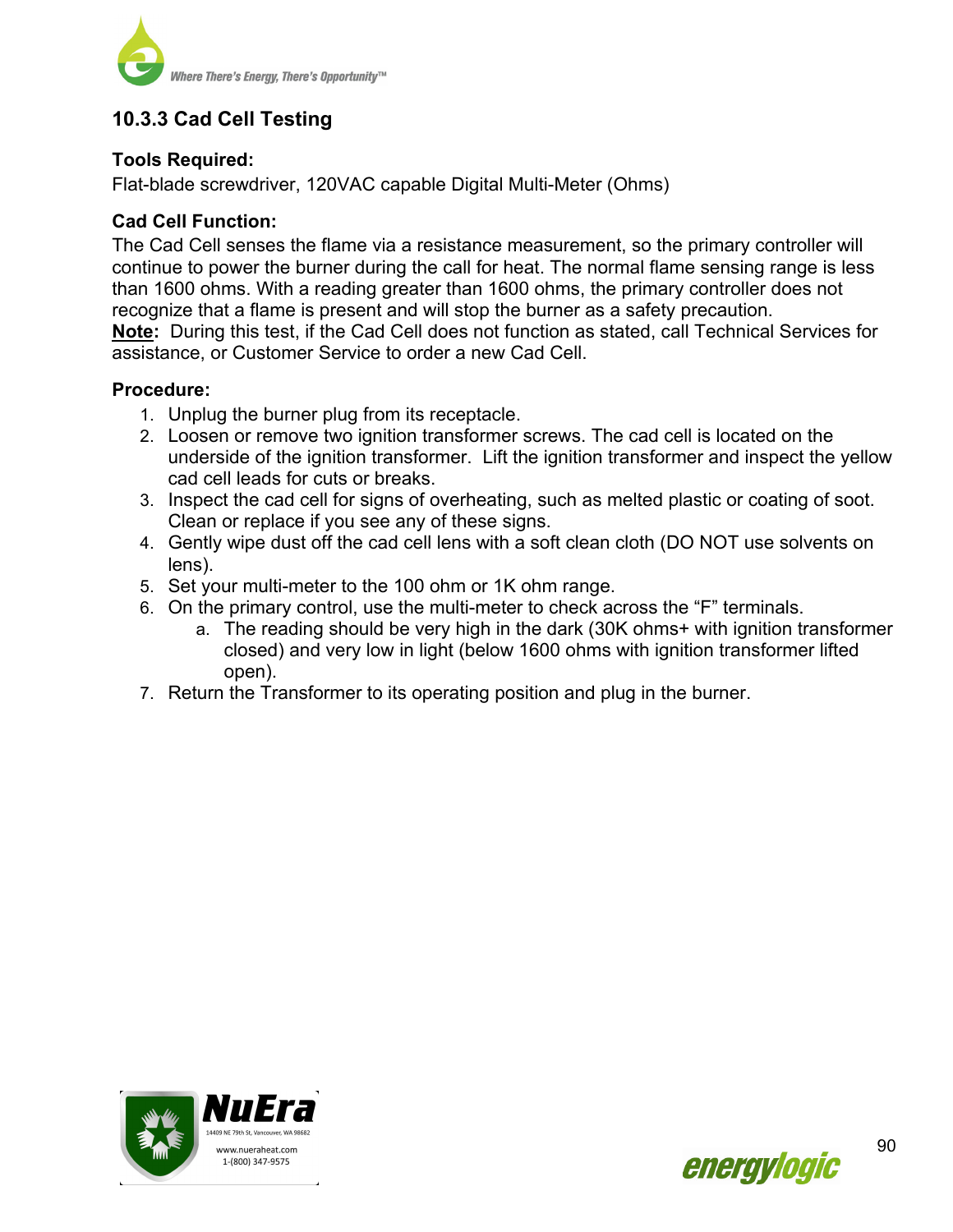

# **10.3.3 Cad Cell Testing**

### **Tools Required:**

Flat-blade screwdriver, 120VAC capable Digital Multi-Meter (Ohms)

#### **Cad Cell Function:**

The Cad Cell senses the flame via a resistance measurement, so the primary controller will continue to power the burner during the call for heat. The normal flame sensing range is less than 1600 ohms. With a reading greater than 1600 ohms, the primary controller does not recognize that a flame is present and will stop the burner as a safety precaution. **Note:** During this test, if the Cad Cell does not function as stated, call Technical Services for

assistance, or Customer Service to order a new Cad Cell.

#### **Procedure:**

- 1. Unplug the burner plug from its receptacle.
- 2. Loosen or remove two ignition transformer screws. The cad cell is located on the underside of the ignition transformer. Lift the ignition transformer and inspect the yellow cad cell leads for cuts or breaks.
- 3. Inspect the cad cell for signs of overheating, such as melted plastic or coating of soot. Clean or replace if you see any of these signs.
- 4. Gently wipe dust off the cad cell lens with a soft clean cloth (DO NOT use solvents on lens).
- 5. Set your multi-meter to the 100 ohm or 1K ohm range.
- 6. On the primary control, use the multi-meter to check across the "F" terminals.
	- a. The reading should be very high in the dark (30K ohms+ with ignition transformer closed) and very low in light (below 1600 ohms with ignition transformer lifted open).
- 7. Return the Transformer to its operating position and plug in the burner.



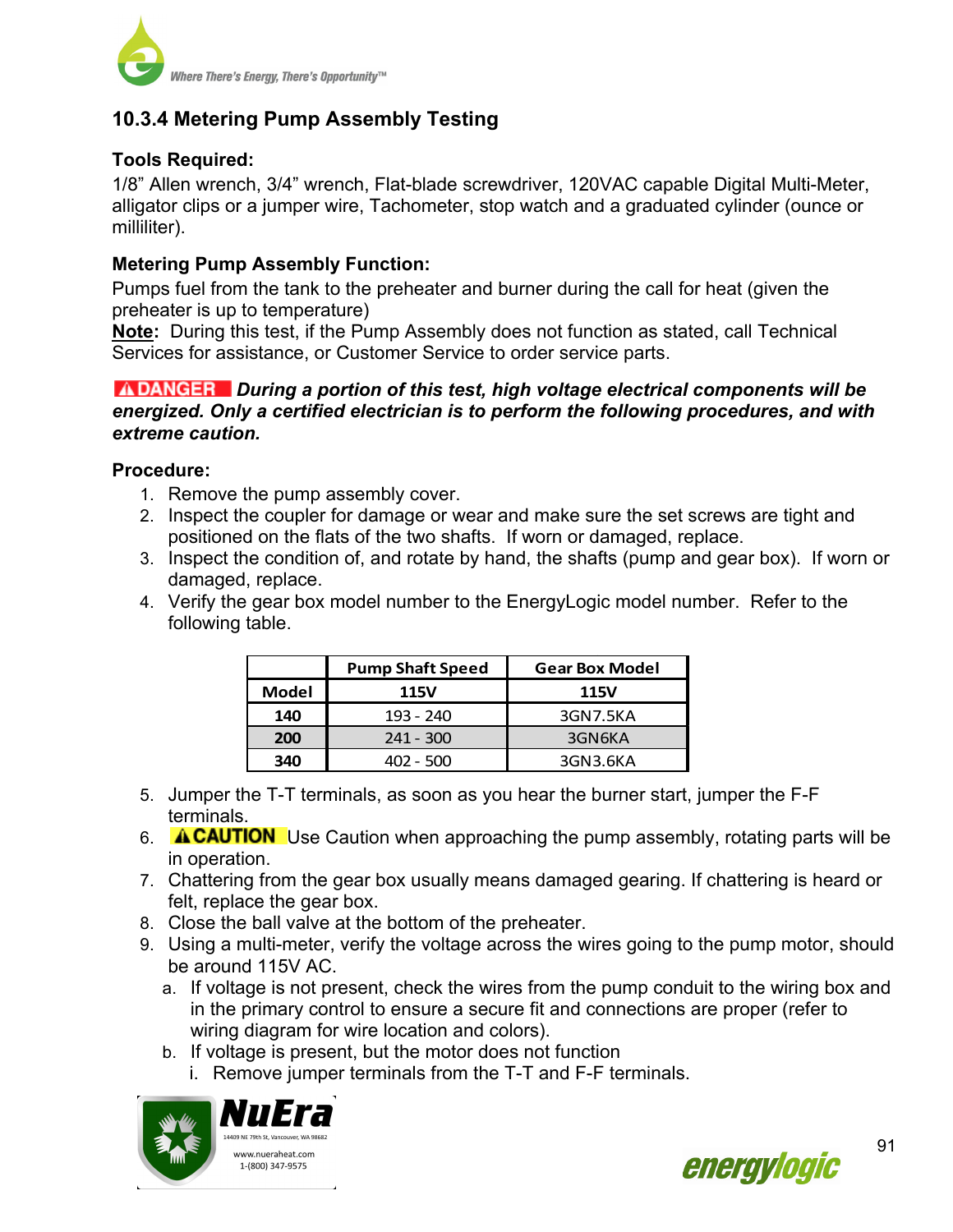

# **10.3.4 Metering Pump Assembly Testing**

## **Tools Required:**

1/8" Allen wrench, 3/4" wrench, Flat-blade screwdriver, 120VAC capable Digital Multi-Meter, alligator clips or a jumper wire, Tachometer, stop watch and a graduated cylinder (ounce or milliliter).

#### **Metering Pump Assembly Function:**

Pumps fuel from the tank to the preheater and burner during the call for heat (given the preheater is up to temperature)

**Note:** During this test, if the Pump Assembly does not function as stated, call Technical Services for assistance, or Customer Service to order service parts.

#### *During a portion of this test, high voltage electrical components will be energized. Only a certified electrician is to perform the following procedures, and with extreme caution.*

#### **Procedure:**

- 1. Remove the pump assembly cover.
- 2. Inspect the coupler for damage or wear and make sure the set screws are tight and positioned on the flats of the two shafts. If worn or damaged, replace.
- 3. Inspect the condition of, and rotate by hand, the shafts (pump and gear box). If worn or damaged, replace.
- 4. Verify the gear box model number to the EnergyLogic model number. Refer to the following table.

|                    | <b>Pump Shaft Speed</b> | <b>Gear Box Model</b> |  |
|--------------------|-------------------------|-----------------------|--|
| <b>Model</b>       | <b>115V</b>             | <b>115V</b>           |  |
| 140                | 193 - 240               | 3GN7.5KA              |  |
| $241 - 300$<br>200 |                         | 3GN6KA                |  |
| 340<br>402 - 500   |                         | 3GN3.6KA              |  |

- 5. Jumper the T-T terminals, as soon as you hear the burner start, jumper the F-F terminals.
- 6. **A CAUTION** Use Caution when approaching the pump assembly, rotating parts will be in operation.
- 7. Chattering from the gear box usually means damaged gearing. If chattering is heard or felt, replace the gear box.
- 8. Close the ball valve at the bottom of the preheater.
- 9. Using a multi-meter, verify the voltage across the wires going to the pump motor, should be around 115V AC.
	- a. If voltage is not present, check the wires from the pump conduit to the wiring box and in the primary control to ensure a secure fit and connections are proper (refer to wiring diagram for wire location and colors).
	- b. If voltage is present, but the motor does not function
		- i. Remove jumper terminals from the T-T and F-F terminals.



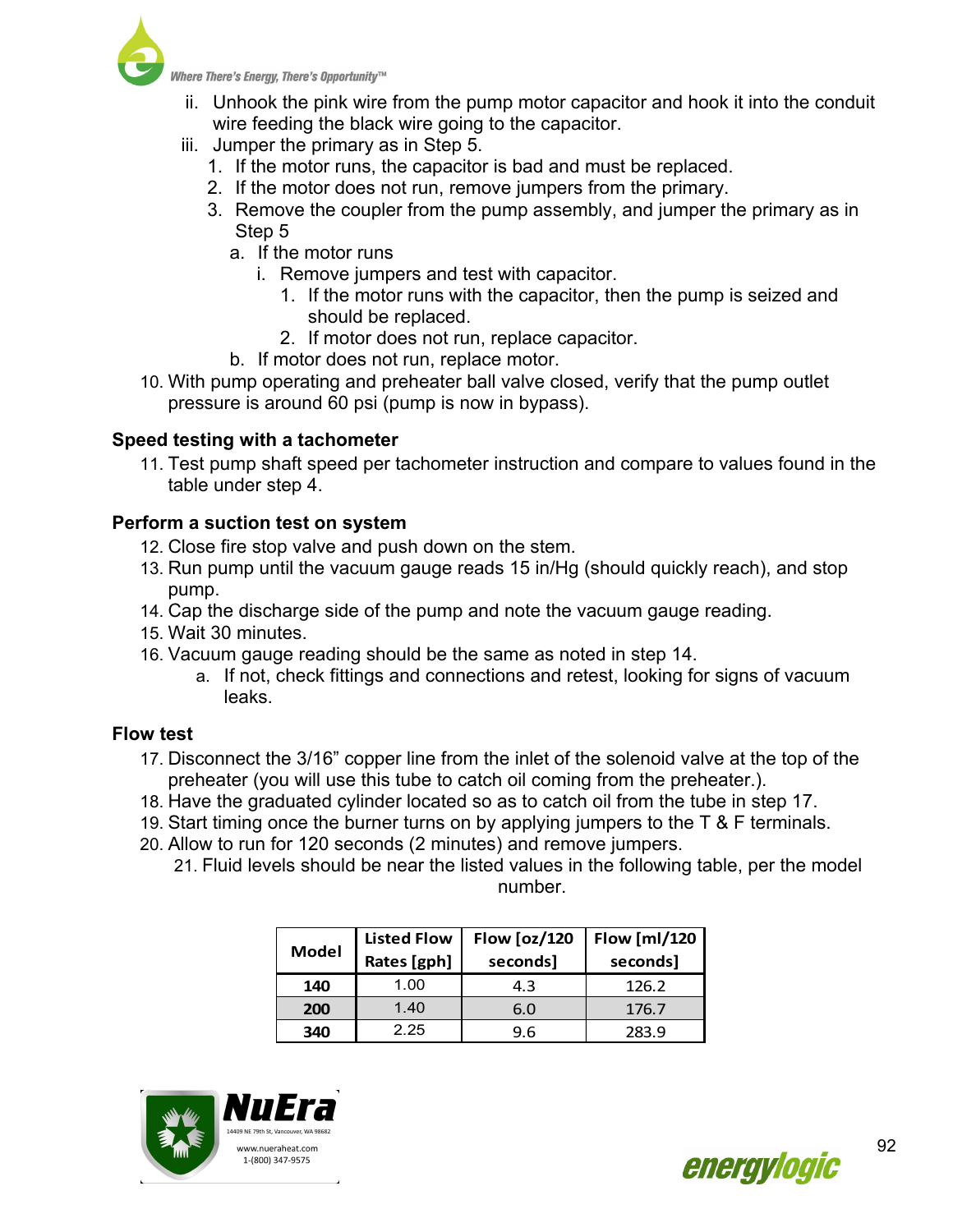

- ii. Unhook the pink wire from the pump motor capacitor and hook it into the conduit wire feeding the black wire going to the capacitor.
- iii. Jumper the primary as in Step 5.
	- 1. If the motor runs, the capacitor is bad and must be replaced.
	- 2. If the motor does not run, remove jumpers from the primary.
	- 3. Remove the coupler from the pump assembly, and jumper the primary as in Step 5
		- a. If the motor runs
			- i. Remove jumpers and test with capacitor.
				- 1. If the motor runs with the capacitor, then the pump is seized and should be replaced.
				- 2. If motor does not run, replace capacitor.
		- b. If motor does not run, replace motor.
- 10. With pump operating and preheater ball valve closed, verify that the pump outlet pressure is around 60 psi (pump is now in bypass).

# **Speed testing with a tachometer**

11. Test pump shaft speed per tachometer instruction and compare to values found in the table under step 4.

## **Perform a suction test on system**

- 12. Close fire stop valve and push down on the stem.
- 13. Run pump until the vacuum gauge reads 15 in/Hg (should quickly reach), and stop pump.
- 14. Cap the discharge side of the pump and note the vacuum gauge reading.
- 15. Wait 30 minutes.
- 16. Vacuum gauge reading should be the same as noted in step 14.
	- a. If not, check fittings and connections and retest, looking for signs of vacuum leaks.

## **Flow test**

- 17. Disconnect the 3/16" copper line from the inlet of the solenoid valve at the top of the preheater (you will use this tube to catch oil coming from the preheater.).
- 18. Have the graduated cylinder located so as to catch oil from the tube in step 17.
- 19. Start timing once the burner turns on by applying jumpers to the T & F terminals.
- 20. Allow to run for 120 seconds (2 minutes) and remove jumpers.
	- 21. Fluid levels should be near the listed values in the following table, per the model number.

| <b>Model</b> | <b>Listed Flow</b><br>Rates [gph] | <b>Flow [oz/120</b><br>seconds] | Flow [ml/120  <br>seconds] |
|--------------|-----------------------------------|---------------------------------|----------------------------|
| 140          | 1.00                              | 4.3                             | 126.2                      |
| 200          | 1.40                              | 6.0                             | 176.7                      |
| 340          | 2.25                              | 9.6                             | 283.9                      |



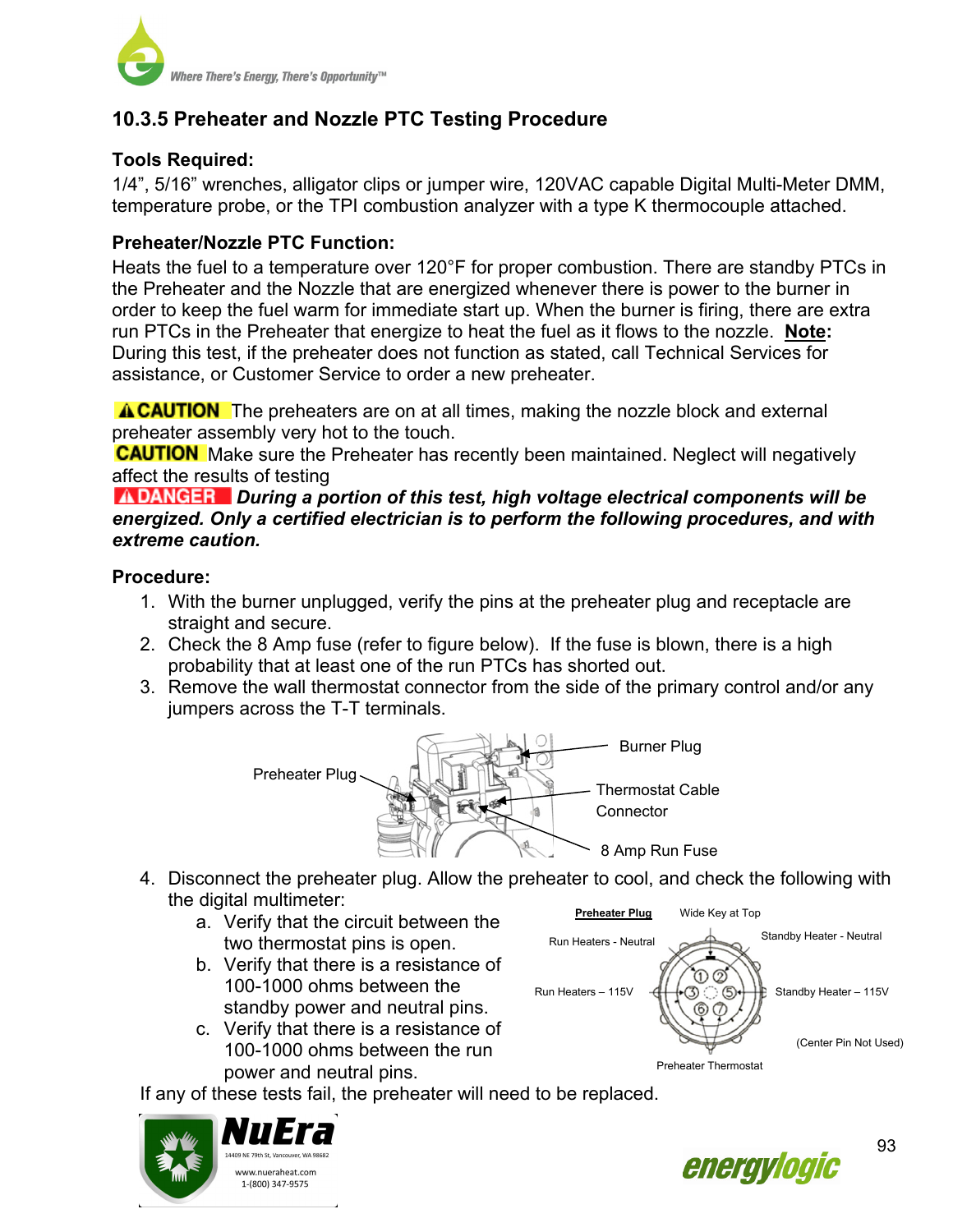

# **10.3.5 Preheater and Nozzle PTC Testing Procedure**

## **Tools Required:**

1/4", 5/16" wrenches, alligator clips or jumper wire, 120VAC capable Digital Multi-Meter DMM, temperature probe, or the TPI combustion analyzer with a type K thermocouple attached.

#### **Preheater/Nozzle PTC Function:**

Heats the fuel to a temperature over 120°F for proper combustion. There are standby PTCs in the Preheater and the Nozzle that are energized whenever there is power to the burner in order to keep the fuel warm for immediate start up. When the burner is firing, there are extra run PTCs in the Preheater that energize to heat the fuel as it flows to the nozzle. **Note:**  During this test, if the preheater does not function as stated, call Technical Services for assistance, or Customer Service to order a new preheater.

**A CAUTION** The preheaters are on at all times, making the nozzle block and external preheater assembly very hot to the touch.

**CAUTION** Make sure the Preheater has recently been maintained. Neglect will negatively affect the results of testing

*INDANGER* During a portion of this test, high voltage electrical components will be *energized. Only a certified electrician is to perform the following procedures, and with extreme caution.* 

#### **Procedure:**

- 1. With the burner unplugged, verify the pins at the preheater plug and receptacle are straight and secure.
- 2. Check the 8 Amp fuse (refer to figure below). If the fuse is blown, there is a high probability that at least one of the run PTCs has shorted out.
- 3. Remove the wall thermostat connector from the side of the primary control and/or any jumpers across the T-T terminals.



- 4. Disconnect the preheater plug. Allow the preheater to cool, and check the following with the digital multimeter:
	- **Example 2. Separat That The Circuit between the Circuit Set Acceptance Circuit Set Accept** Preference Condensity Mide Key at Top **a.** Vide Key at Top two thermostat pins is open.
	- b. Verify that there is a resistance of 100-1000 ohms between the standby power and neutral pins.
	- c. Verify that there is a resistance of 100-1000 ohms between the run power and neutral pins.



If any of these tests fail, the preheater will need to be replaced.



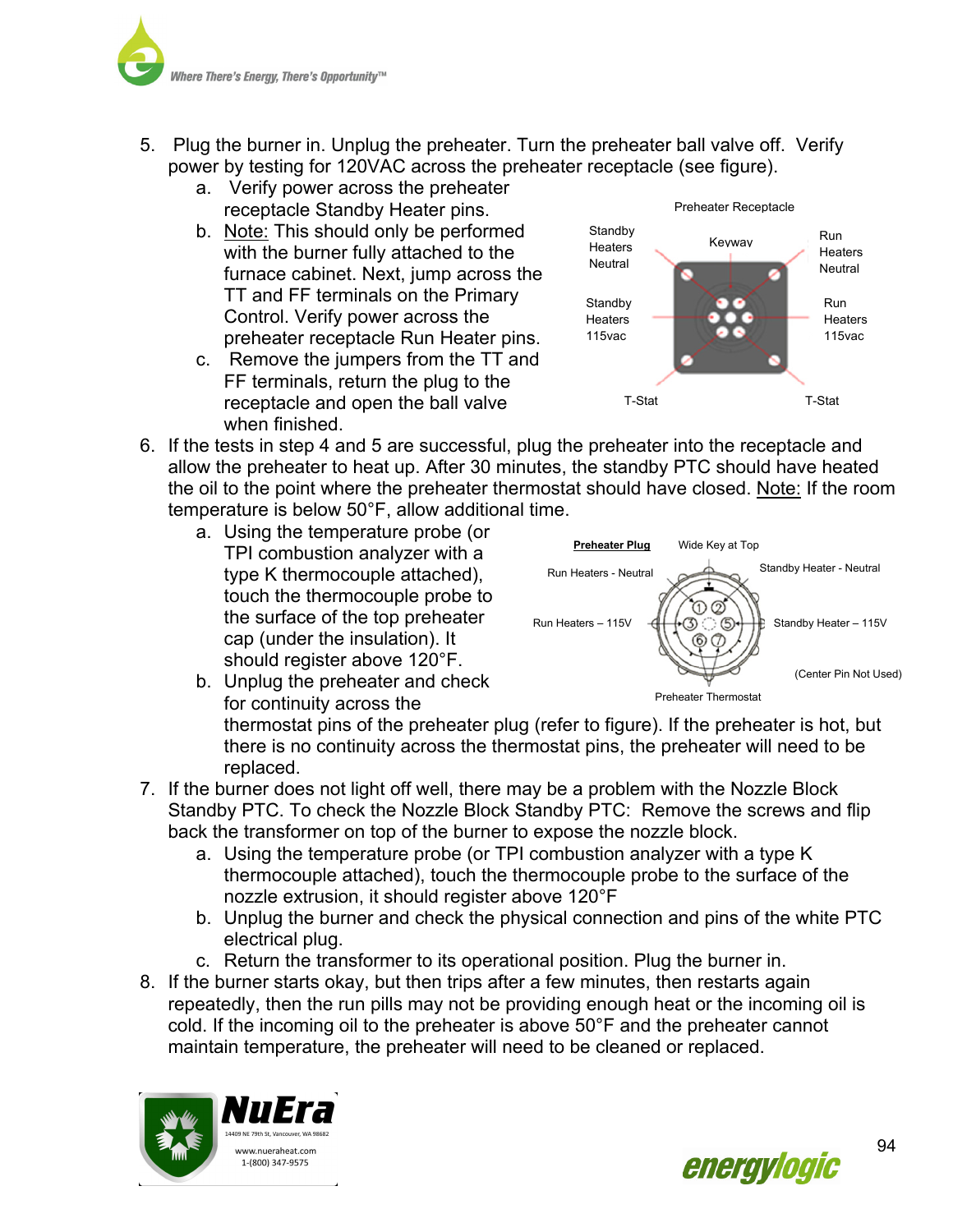

- 5. Plug the burner in. Unplug the preheater. Turn the preheater ball valve off. Verify power by testing for 120VAC across the preheater receptacle (see figure).
	- a. Verify power across the preheater receptacle Standby Heater pins.
	- b. Note: This should only be performed with the burner fully attached to the furnace cabinet. Next, jump across the TT and FF terminals on the Primary Control. Verify power across the preheater receptacle Run Heater pins.
	- c. Remove the jumpers from the TT and FF terminals, return the plug to the receptacle and open the ball valve when finished.



- 6. If the tests in step 4 and 5 are successful, plug the preheater into the receptacle and allow the preheater to heat up. After 30 minutes, the standby PTC should have heated the oil to the point where the preheater thermostat should have closed. Note: If the room temperature is below 50°F, allow additional time.
	- a. Using the temperature probe (or TPI combustion analyzer with a type K thermocouple attached), touch the thermocouple probe to the surface of the top preheater cap (under the insulation). It should register above 120°F.





for continuity across the thermostat pins of the preheater plug (refer to figure). If the preheater is hot, but there is no continuity across the thermostat pins, the preheater will need to be replaced. Preheater Thermostat

- 7. If the burner does not light off well, there may be a problem with the Nozzle Block Standby PTC. To check the Nozzle Block Standby PTC: Remove the screws and flip back the transformer on top of the burner to expose the nozzle block.
	- a. Using the temperature probe (or TPI combustion analyzer with a type K thermocouple attached), touch the thermocouple probe to the surface of the nozzle extrusion, it should register above 120°F
	- b. Unplug the burner and check the physical connection and pins of the white PTC electrical plug.
	- c. Return the transformer to its operational position. Plug the burner in.
- 8. If the burner starts okay, but then trips after a few minutes, then restarts again repeatedly, then the run pills may not be providing enough heat or the incoming oil is cold. If the incoming oil to the preheater is above 50°F and the preheater cannot maintain temperature, the preheater will need to be cleaned or replaced.



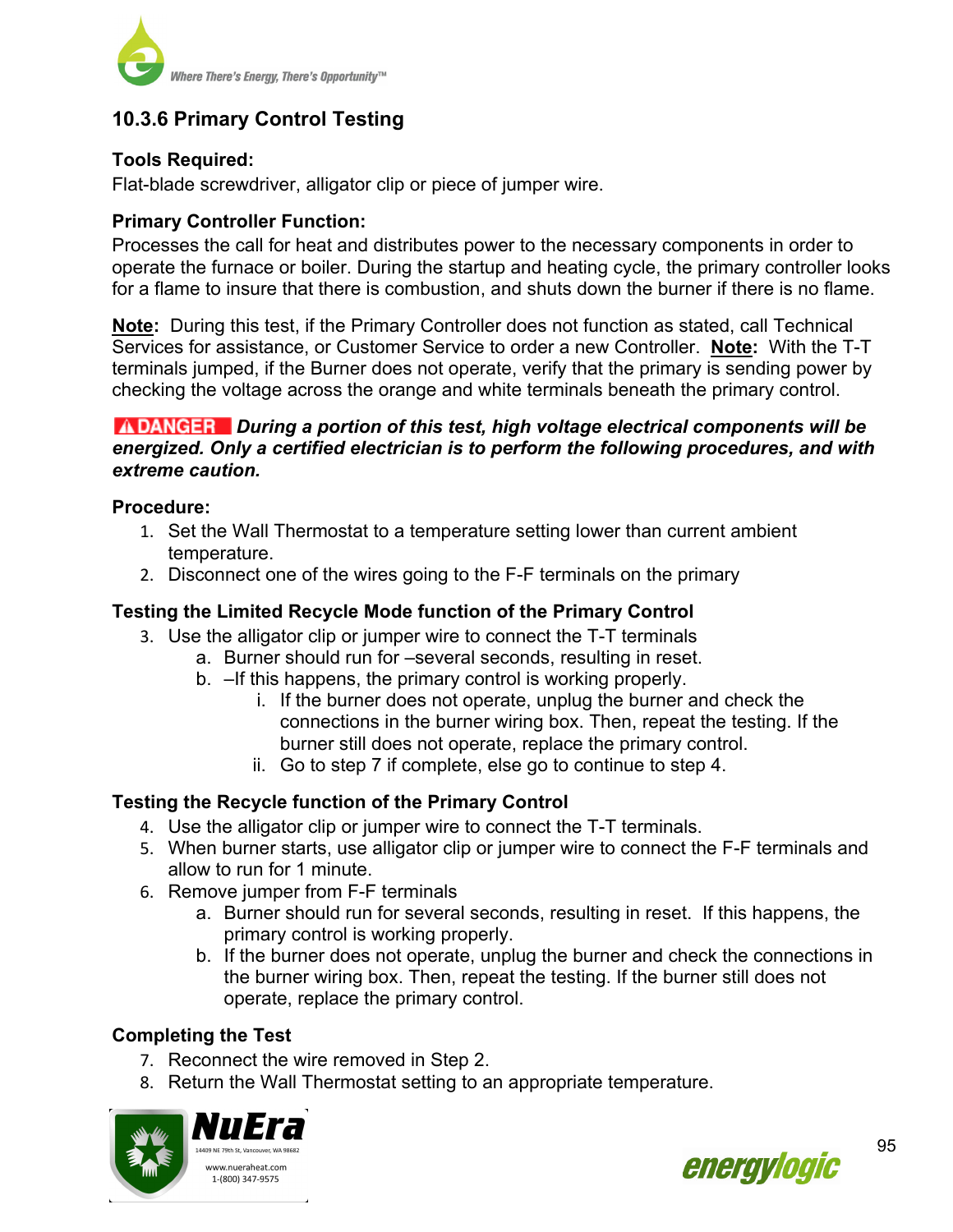

# **10.3.6 Primary Control Testing**

## **Tools Required:**

Flat-blade screwdriver, alligator clip or piece of jumper wire.

#### **Primary Controller Function:**

Processes the call for heat and distributes power to the necessary components in order to operate the furnace or boiler. During the startup and heating cycle, the primary controller looks for a flame to insure that there is combustion, and shuts down the burner if there is no flame.

**Note:** During this test, if the Primary Controller does not function as stated, call Technical Services for assistance, or Customer Service to order a new Controller. **Note:** With the T-T terminals jumped, if the Burner does not operate, verify that the primary is sending power by checking the voltage across the orange and white terminals beneath the primary control.

#### *ADANGER* During a portion of this test, high voltage electrical components will be *energized. Only a certified electrician is to perform the following procedures, and with extreme caution.*

#### **Procedure:**

- 1. Set the Wall Thermostat to a temperature setting lower than current ambient temperature.
- 2. Disconnect one of the wires going to the F-F terminals on the primary

#### **Testing the Limited Recycle Mode function of the Primary Control**

- 3. Use the alligator clip or jumper wire to connect the T-T terminals
	- a. Burner should run for –several seconds, resulting in reset.
	- b. –If this happens, the primary control is working properly.
		- i. If the burner does not operate, unplug the burner and check the connections in the burner wiring box. Then, repeat the testing. If the burner still does not operate, replace the primary control.
		- ii. Go to step 7 if complete, else go to continue to step 4.

#### **Testing the Recycle function of the Primary Control**

- 4. Use the alligator clip or jumper wire to connect the T-T terminals.
- 5. When burner starts, use alligator clip or jumper wire to connect the F-F terminals and allow to run for 1 minute.
- 6. Remove jumper from F-F terminals
	- a. Burner should run for several seconds, resulting in reset. If this happens, the primary control is working properly.
	- b. If the burner does not operate, unplug the burner and check the connections in the burner wiring box. Then, repeat the testing. If the burner still does not operate, replace the primary control.

#### **Completing the Test**

- 7. Reconnect the wire removed in Step 2.
- 8. Return the Wall Thermostat setting to an appropriate temperature.



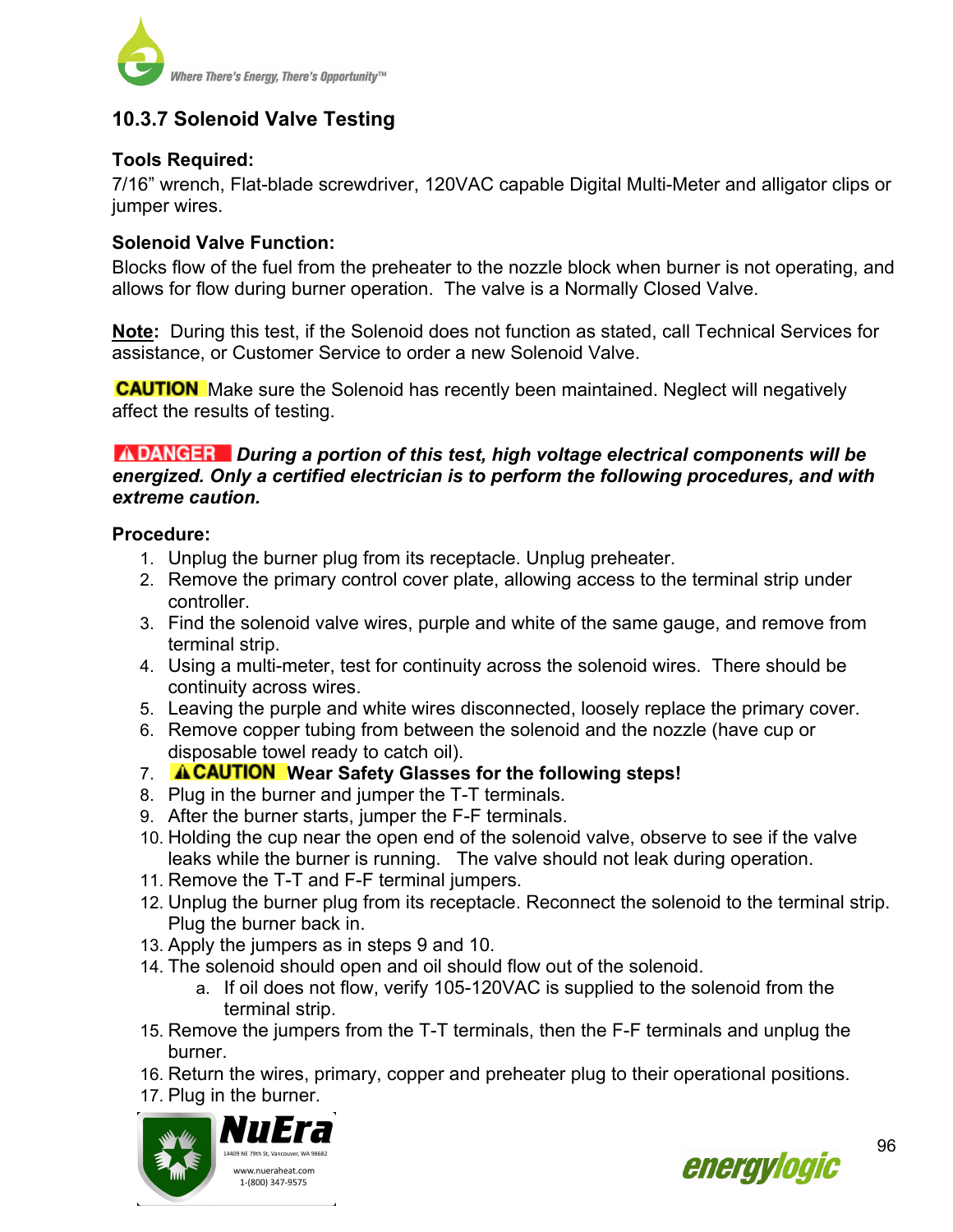

## **10.3.7 Solenoid Valve Testing**

#### **Tools Required:**

7/16" wrench, Flat-blade screwdriver, 120VAC capable Digital Multi-Meter and alligator clips or jumper wires.

#### **Solenoid Valve Function:**

Blocks flow of the fuel from the preheater to the nozzle block when burner is not operating, and allows for flow during burner operation. The valve is a Normally Closed Valve.

**Note:** During this test, if the Solenoid does not function as stated, call Technical Services for assistance, or Customer Service to order a new Solenoid Valve.

**CAUTION** Make sure the Solenoid has recently been maintained. Neglect will negatively affect the results of testing.

#### *During a portion of this test, high voltage electrical components will be energized. Only a certified electrician is to perform the following procedures, and with extreme caution.*

#### **Procedure:**

- 1. Unplug the burner plug from its receptacle. Unplug preheater.
- 2. Remove the primary control cover plate, allowing access to the terminal strip under controller.
- 3. Find the solenoid valve wires, purple and white of the same gauge, and remove from terminal strip.
- 4. Using a multi-meter, test for continuity across the solenoid wires. There should be continuity across wires.
- 5. Leaving the purple and white wires disconnected, loosely replace the primary cover.
- 6. Remove copper tubing from between the solenoid and the nozzle (have cup or disposable towel ready to catch oil).
- 7. **A CAUTION** Wear Safety Glasses for the following steps!
- 8. Plug in the burner and jumper the T-T terminals.
- 9. After the burner starts, jumper the F-F terminals.
- 10. Holding the cup near the open end of the solenoid valve, observe to see if the valve leaks while the burner is running. The valve should not leak during operation.
- 11. Remove the T-T and F-F terminal jumpers.
- 12. Unplug the burner plug from its receptacle. Reconnect the solenoid to the terminal strip. Plug the burner back in.
- 13. Apply the jumpers as in steps 9 and 10.
- 14. The solenoid should open and oil should flow out of the solenoid.
	- a. If oil does not flow, verify 105-120VAC is supplied to the solenoid from the terminal strip.
- 15. Remove the jumpers from the T-T terminals, then the F-F terminals and unplug the burner.
- 16. Return the wires, primary, copper and preheater plug to their operational positions.
- 17. Plug in the burner.



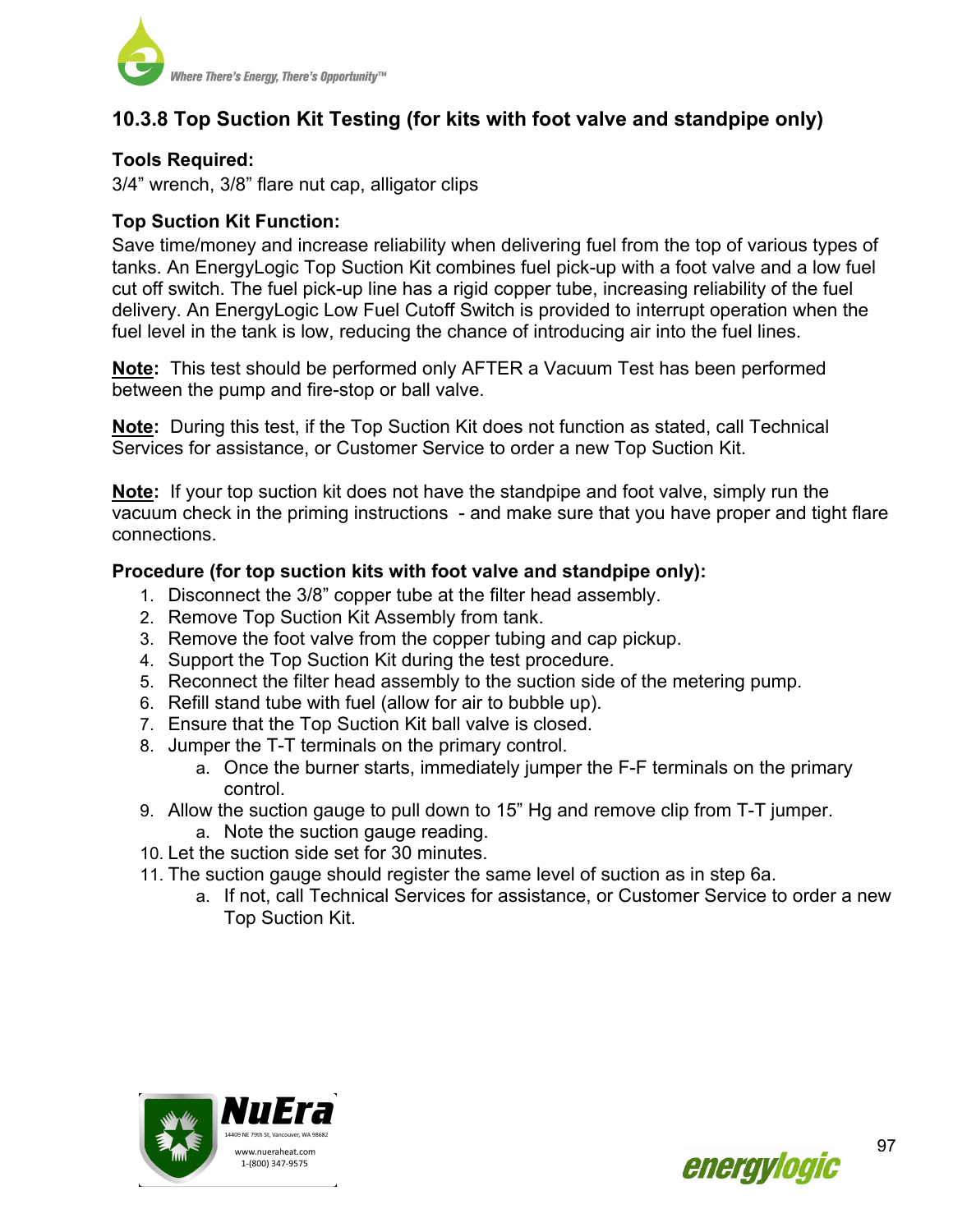

# **10.3.8 Top Suction Kit Testing (for kits with foot valve and standpipe only)**

#### **Tools Required:**

3/4" wrench, 3/8" flare nut cap, alligator clips

#### **Top Suction Kit Function:**

Save time/money and increase reliability when delivering fuel from the top of various types of tanks. An EnergyLogic Top Suction Kit combines fuel pick-up with a foot valve and a low fuel cut off switch. The fuel pick-up line has a rigid copper tube, increasing reliability of the fuel delivery. An EnergyLogic Low Fuel Cutoff Switch is provided to interrupt operation when the fuel level in the tank is low, reducing the chance of introducing air into the fuel lines.

**Note:** This test should be performed only AFTER a Vacuum Test has been performed between the pump and fire-stop or ball valve.

**Note:** During this test, if the Top Suction Kit does not function as stated, call Technical Services for assistance, or Customer Service to order a new Top Suction Kit.

**Note:** If your top suction kit does not have the standpipe and foot valve, simply run the vacuum check in the priming instructions - and make sure that you have proper and tight flare connections.

#### **Procedure (for top suction kits with foot valve and standpipe only):**

- 1. Disconnect the 3/8" copper tube at the filter head assembly.
- 2. Remove Top Suction Kit Assembly from tank.
- 3. Remove the foot valve from the copper tubing and cap pickup.
- 4. Support the Top Suction Kit during the test procedure.
- 5. Reconnect the filter head assembly to the suction side of the metering pump.
- 6. Refill stand tube with fuel (allow for air to bubble up).
- 7. Ensure that the Top Suction Kit ball valve is closed.
- 8. Jumper the T-T terminals on the primary control.
	- a. Once the burner starts, immediately jumper the F-F terminals on the primary control.
- 9. Allow the suction gauge to pull down to 15" Hg and remove clip from T-T jumper.
	- a. Note the suction gauge reading.
- 10. Let the suction side set for 30 minutes.
- 11. The suction gauge should register the same level of suction as in step 6a.
	- a. If not, call Technical Services for assistance, or Customer Service to order a new Top Suction Kit.



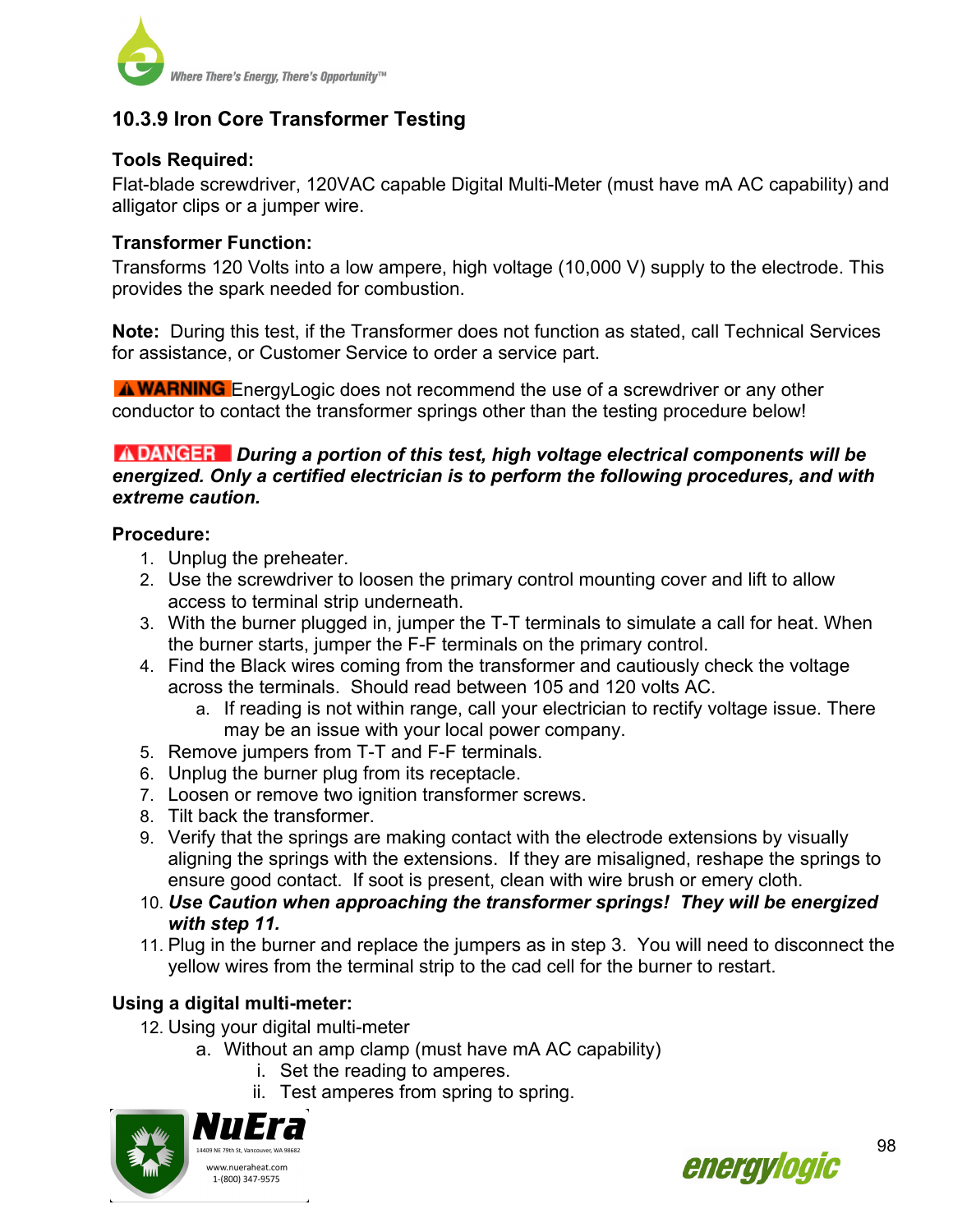

# **10.3.9 Iron Core Transformer Testing**

### **Tools Required:**

Flat-blade screwdriver, 120VAC capable Digital Multi-Meter (must have mA AC capability) and alligator clips or a jumper wire.

#### **Transformer Function:**

Transforms 120 Volts into a low ampere, high voltage (10,000 V) supply to the electrode. This provides the spark needed for combustion.

**Note:** During this test, if the Transformer does not function as stated, call Technical Services for assistance, or Customer Service to order a service part.

**A WARNING** EnergyLogic does not recommend the use of a screwdriver or any other conductor to contact the transformer springs other than the testing procedure below!

#### *During a portion of this test, high voltage electrical components will be energized. Only a certified electrician is to perform the following procedures, and with extreme caution.*

#### **Procedure:**

- 1. Unplug the preheater.
- 2. Use the screwdriver to loosen the primary control mounting cover and lift to allow access to terminal strip underneath.
- 3. With the burner plugged in, jumper the T-T terminals to simulate a call for heat. When the burner starts, jumper the F-F terminals on the primary control.
- 4. Find the Black wires coming from the transformer and cautiously check the voltage across the terminals. Should read between 105 and 120 volts AC.
	- a. If reading is not within range, call your electrician to rectify voltage issue. There may be an issue with your local power company.
- 5. Remove jumpers from T-T and F-F terminals.
- 6. Unplug the burner plug from its receptacle.
- 7. Loosen or remove two ignition transformer screws.
- 8. Tilt back the transformer.
- 9. Verify that the springs are making contact with the electrode extensions by visually aligning the springs with the extensions. If they are misaligned, reshape the springs to ensure good contact. If soot is present, clean with wire brush or emery cloth.
- 10. *Use Caution when approaching the transformer springs! They will be energized with step 11.*
- 11. Plug in the burner and replace the jumpers as in step 3. You will need to disconnect the yellow wires from the terminal strip to the cad cell for the burner to restart.

## **Using a digital multi-meter:**

- 12. Using your digital multi-meter
	- a. Without an amp clamp (must have mA AC capability)
		- i. Set the reading to amperes.
		- ii. Test amperes from spring to spring.



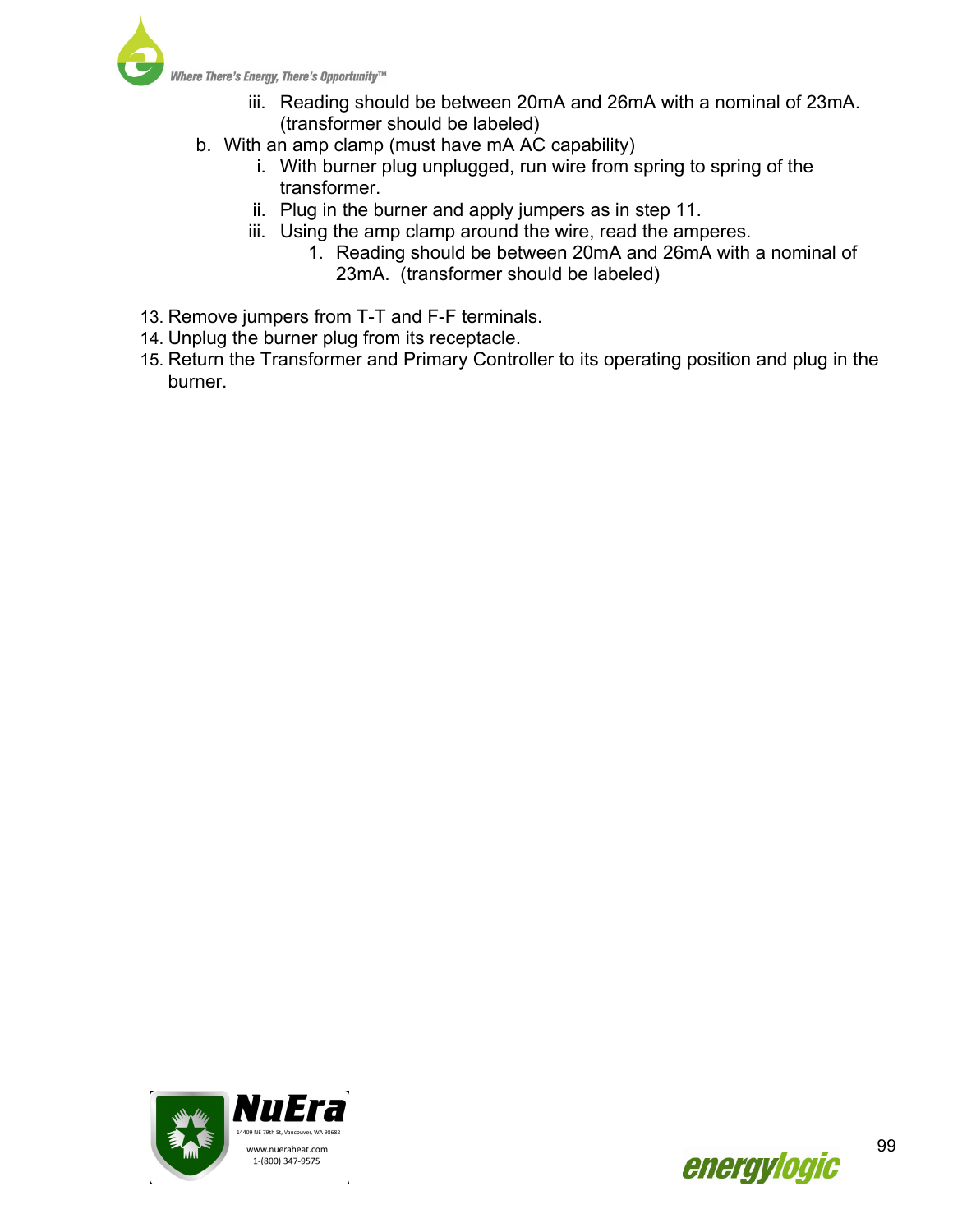

- iii. Reading should be between 20mA and 26mA with a nominal of 23mA. (transformer should be labeled)
- b. With an amp clamp (must have mA AC capability)
	- i. With burner plug unplugged, run wire from spring to spring of the transformer.
	- ii. Plug in the burner and apply jumpers as in step 11.
	- iii. Using the amp clamp around the wire, read the amperes.
		- 1. Reading should be between 20mA and 26mA with a nominal of 23mA. (transformer should be labeled)
- 13. Remove jumpers from T-T and F-F terminals.
- 14. Unplug the burner plug from its receptacle.
- 15. Return the Transformer and Primary Controller to its operating position and plug in the burner.